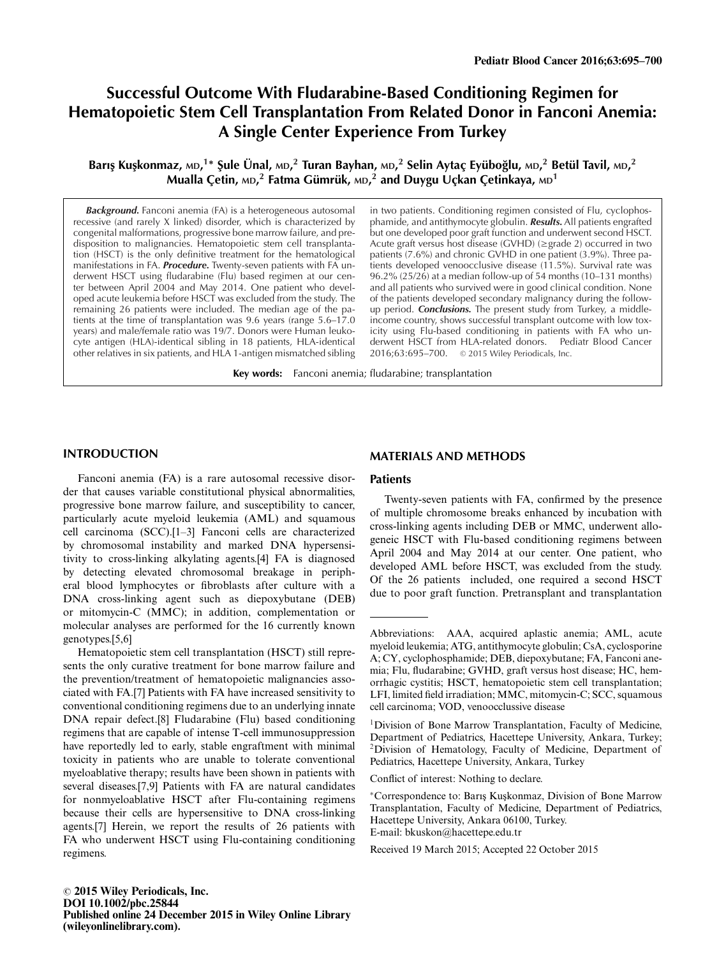# **Successful Outcome With Fludarabine-Based Conditioning Regimen for Hematopoietic Stem Cell Transplantation From Related Donor in Fanconi Anemia: A Single Center Experience From Turkey**

Barış Kuşkonmaz, мd, $^{1*}$  Şule Ünal, мd, $^{2}$  Turan Bayhan, мd, $^{2}$  Selin Aytaç Eyüboğlu, мd, $^{2}$  Betül Tavil, мd, $^{2}$ **Mualla Çetin, MD, <sup>2</sup> Fatma Gümrük, MD, <sup>2</sup> and Duygu Uçkan Çetinkaya, MD1**

*Background.* Fanconi anemia (FA) is a heterogeneous autosomal recessive (and rarely X linked) disorder, which is characterized by congenital malformations, progressive bone marrow failure, and predisposition to malignancies. Hematopoietic stem cell transplantation (HSCT) is the only definitive treatment for the hematological manifestations in FA. *Procedure.* Twenty-seven patients with FA underwent HSCT using fludarabine (Flu) based regimen at our center between April 2004 and May 2014. One patient who developed acute leukemia before HSCT was excluded from the study. The remaining 26 patients were included. The median age of the patients at the time of transplantation was 9.6 years (range 5.6–17.0 years) and male/female ratio was 19/7. Donors were Human leukocyte antigen (HLA)-identical sibling in 18 patients, HLA-identical other relatives in six patients, and HLA 1-antigen mismatched sibling

in two patients. Conditioning regimen consisted of Flu, cyclophosphamide, and antithymocyte globulin. *Results.* All patients engrafted but one developed poor graft function and underwent second HSCT. Acute graft versus host disease (GVHD) (≥grade 2) occurred in two patients (7.6%) and chronic GVHD in one patient (3.9%). Three patients developed venoocclusive disease (11.5%). Survival rate was 96.2% (25/26) at a median follow-up of 54 months (10–131 months) and all patients who survived were in good clinical condition. None of the patients developed secondary malignancy during the followup period. *Conclusions.* The present study from Turkey, a middleincome country, shows successful transplant outcome with low toxicity using Flu-based conditioning in patients with FA who underwent HSCT from HLA-related donors. Pediatr Blood Cancer 2016;63:695–700. © 2015 Wiley Periodicals, Inc.

**Key words:** Fanconi anemia; fludarabine; transplantation

# **INTRODUCTION**

Fanconi anemia (FA) is a rare autosomal recessive disorder that causes variable constitutional physical abnormalities, progressive bone marrow failure, and susceptibility to cancer, particularly acute myeloid leukemia (AML) and squamous cell carcinoma (SCC).[1–3] Fanconi cells are characterized by chromosomal instability and marked DNA hypersensitivity to cross-linking alkylating agents.[4] FA is diagnosed by detecting elevated chromosomal breakage in peripheral blood lymphocytes or fibroblasts after culture with a DNA cross-linking agent such as diepoxybutane (DEB) or mitomycin-C (MMC); in addition, complementation or molecular analyses are performed for the 16 currently known genotypes.[5,6]

Hematopoietic stem cell transplantation (HSCT) still represents the only curative treatment for bone marrow failure and the prevention/treatment of hematopoietic malignancies associated with FA.[7] Patients with FA have increased sensitivity to conventional conditioning regimens due to an underlying innate DNA repair defect.[8] Fludarabine (Flu) based conditioning regimens that are capable of intense T-cell immunosuppression have reportedly led to early, stable engraftment with minimal toxicity in patients who are unable to tolerate conventional myeloablative therapy; results have been shown in patients with several diseases.[7,9] Patients with FA are natural candidates for nonmyeloablative HSCT after Flu-containing regimens because their cells are hypersensitive to DNA cross-linking agents.[7] Herein, we report the results of 26 patients with FA who underwent HSCT using Flu-containing conditioning regimens.

# **MATERIALS AND METHODS**

#### **Patients**

Twenty-seven patients with FA, confirmed by the presence of multiple chromosome breaks enhanced by incubation with cross-linking agents including DEB or MMC, underwent allogeneic HSCT with Flu-based conditioning regimens between April 2004 and May 2014 at our center. One patient, who developed AML before HSCT, was excluded from the study. Of the 26 patients included, one required a second HSCT due to poor graft function. Pretransplant and transplantation

Conflict of interest: Nothing to declare.

Received 19 March 2015; Accepted 22 October 2015

Abbreviations: AAA, acquired aplastic anemia; AML, acute myeloid leukemia; ATG, antithymocyte globulin; CsA, cyclosporine A; CY, cyclophosphamide; DEB, diepoxybutane; FA, Fanconi anemia; Flu, fludarabine; GVHD, graft versus host disease; HC, hemorrhagic cystitis; HSCT, hematopoietic stem cell transplantation; LFI, limited field irradiation; MMC, mitomycin-C; SCC, squamous cell carcinoma; VOD, venoocclussive disease

<sup>&</sup>lt;sup>1</sup>Division of Bone Marrow Transplantation, Faculty of Medicine, Department of Pediatrics, Hacettepe University, Ankara, Turkey; 2Division of Hematology, Faculty of Medicine, Department of Pediatrics, Hacettepe University, Ankara, Turkey

<sup>∗</sup>Correspondence to: Barı¸s Ku¸skonmaz, Division of Bone Marrow Transplantation, Faculty of Medicine, Department of Pediatrics, Hacettepe University, Ankara 06100, Turkey. E-mail: bkuskon@hacettepe.edu.tr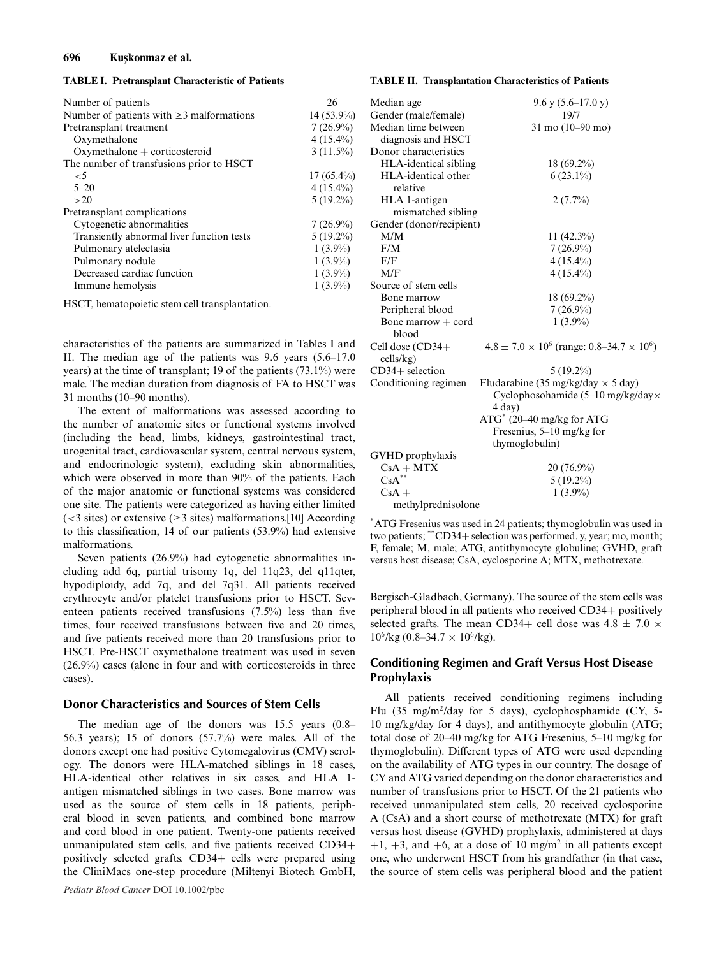#### **696 Ku¸skonmaz et al.**

**TABLE I. Pretransplant Characteristic of Patients**

| Number of patients                             | 26           |
|------------------------------------------------|--------------|
| Number of patients with $\geq$ 3 malformations | 14 (53.9%)   |
| Pretransplant treatment                        | $7(26.9\%)$  |
| Oxymethalone                                   | $4(15.4\%)$  |
| $Oxy$ methalone + corticosteroid               | $3(11.5\%)$  |
| The number of transfusions prior to HSCT       |              |
| $\leq 5$                                       | $17(65.4\%)$ |
| $5 - 20$                                       | $4(15.4\%)$  |
| >20                                            | $5(19.2\%)$  |
| Pretransplant complications                    |              |
| Cytogenetic abnormalities                      | $7(26.9\%)$  |
| Transiently abnormal liver function tests      | $5(19.2\%)$  |
| Pulmonary atelectasia                          | $1(3.9\%)$   |
| Pulmonary nodule                               | $1(3.9\%)$   |
| Decreased cardiac function                     | $1(3.9\%)$   |
| Immune hemolysis                               | $1(3.9\%)$   |

HSCT, hematopoietic stem cell transplantation.

characteristics of the patients are summarized in Tables I and II. The median age of the patients was 9.6 years (5.6–17.0 years) at the time of transplant; 19 of the patients (73.1%) were male. The median duration from diagnosis of FA to HSCT was 31 months (10–90 months).

The extent of malformations was assessed according to the number of anatomic sites or functional systems involved (including the head, limbs, kidneys, gastrointestinal tract, urogenital tract, cardiovascular system, central nervous system, and endocrinologic system), excluding skin abnormalities, which were observed in more than 90% of the patients. Each of the major anatomic or functional systems was considered one site. The patients were categorized as having either limited  $\approx$  3 sites) or extensive ( $\geq$ 3 sites) malformations.[10] According to this classification, 14 of our patients (53.9%) had extensive malformations.

Seven patients (26.9%) had cytogenetic abnormalities including add 6q, partial trisomy 1q, del 11q23, del q11qter, hypodiploidy, add 7q, and del 7q31. All patients received erythrocyte and/or platelet transfusions prior to HSCT. Seventeen patients received transfusions (7.5%) less than five times, four received transfusions between five and 20 times, and five patients received more than 20 transfusions prior to HSCT. Pre-HSCT oxymethalone treatment was used in seven (26.9%) cases (alone in four and with corticosteroids in three cases).

#### **Donor Characteristics and Sources of Stem Cells**

The median age of the donors was 15.5 years (0.8– 56.3 years); 15 of donors (57.7%) were males. All of the donors except one had positive Cytomegalovirus (CMV) serology. The donors were HLA-matched siblings in 18 cases, HLA-identical other relatives in six cases, and HLA 1 antigen mismatched siblings in two cases. Bone marrow was used as the source of stem cells in 18 patients, peripheral blood in seven patients, and combined bone marrow and cord blood in one patient. Twenty-one patients received unmanipulated stem cells, and five patients received CD34+ positively selected grafts. CD34+ cells were prepared using the CliniMacs one-step procedure (Miltenyi Biotech GmbH,

#### **TABLE II. Transplantation Characteristics of Patients**

| Median age                      | $9.6$ y $(5.6-17.0$ y)                                     |
|---------------------------------|------------------------------------------------------------|
| Gender (male/female)            | 19/7                                                       |
| Median time between             | $31 \text{ mo} (10 - 90 \text{ mo})$                       |
| diagnosis and HSCT              |                                                            |
| Donor characteristics           |                                                            |
| HLA-identical sibling           | 18 (69.2%)                                                 |
| HLA-identical other<br>relative | $6(23.1\%)$                                                |
| HLA 1-antigen                   | $2(7.7\%)$                                                 |
| mismatched sibling              |                                                            |
| Gender (donor/recipient)        |                                                            |
| M/M                             | 11 $(42.3\%)$                                              |
| F/M                             | $7(26.9\%)$                                                |
| F/F                             | $4(15.4\%)$                                                |
| M/F                             | $4(15.4\%)$                                                |
| Source of stem cells            |                                                            |
| Bone marrow                     | $18(69.2\%)$                                               |
| Peripheral blood                | $7(26.9\%)$                                                |
| Bone marrow $+$ cord<br>blood   | $1(3.9\%)$                                                 |
| Cell dose (CD34+<br>cells/kg)   | $4.8 \pm 7.0 \times 10^6$ (range: 0.8–34.7 $\times 10^6$ ) |
| $CD34+$ selection               | $5(19.2\%)$                                                |
| Conditioning regimen            | Fludarabine (35 mg/kg/day $\times$ 5 day)                  |
|                                 | Cyclophosohamide $(5-10 \text{ mg/kg/day} \times$          |
|                                 | 4 day)                                                     |
|                                 | ATG <sup>*</sup> (20-40 mg/kg for ATG                      |
|                                 | Fresenius, 5–10 mg/kg for                                  |
|                                 | thymoglobulin)                                             |
| GVHD prophylaxis                |                                                            |
| $CsA + MTX$                     | $20(76.9\%)$                                               |
| $\text{CsA}^{**}$               | $5(19.2\%)$                                                |
| $CsA +$                         | $1(3.9\%)$                                                 |
| methylprednisolone              |                                                            |

\*ATG Fresenius was used in 24 patients; thymoglobulin was used in two patients; \*\*CD34<sup>+</sup> selection was performed. y, year; mo, month; F, female; M, male; ATG, antithymocyte globuline; GVHD, graft versus host disease; CsA, cyclosporine A; MTX, methotrexate.

Bergisch-Gladbach, Germany). The source of the stem cells was peripheral blood in all patients who received CD34+ positively selected grafts. The mean CD34+ cell dose was  $4.8 \pm 7.0 \times$  $10^6$ /kg (0.8–34.7 × 10<sup>6</sup>/kg).

# **Conditioning Regimen and Graft Versus Host Disease Prophylaxis**

All patients received conditioning regimens including Flu  $(35 \text{ mg/m}^2/\text{day}$  for 5 days), cyclophosphamide (CY, 5-10 mg/kg/day for 4 days), and antithymocyte globulin (ATG; total dose of 20–40 mg/kg for ATG Fresenius, 5–10 mg/kg for thymoglobulin). Different types of ATG were used depending on the availability of ATG types in our country. The dosage of CY and ATG varied depending on the donor characteristics and number of transfusions prior to HSCT. Of the 21 patients who received unmanipulated stem cells, 20 received cyclosporine A (CsA) and a short course of methotrexate (MTX) for graft versus host disease (GVHD) prophylaxis, administered at days  $+1$ ,  $+3$ , and  $+6$ , at a dose of 10 mg/m<sup>2</sup> in all patients except one, who underwent HSCT from his grandfather (in that case, the source of stem cells was peripheral blood and the patient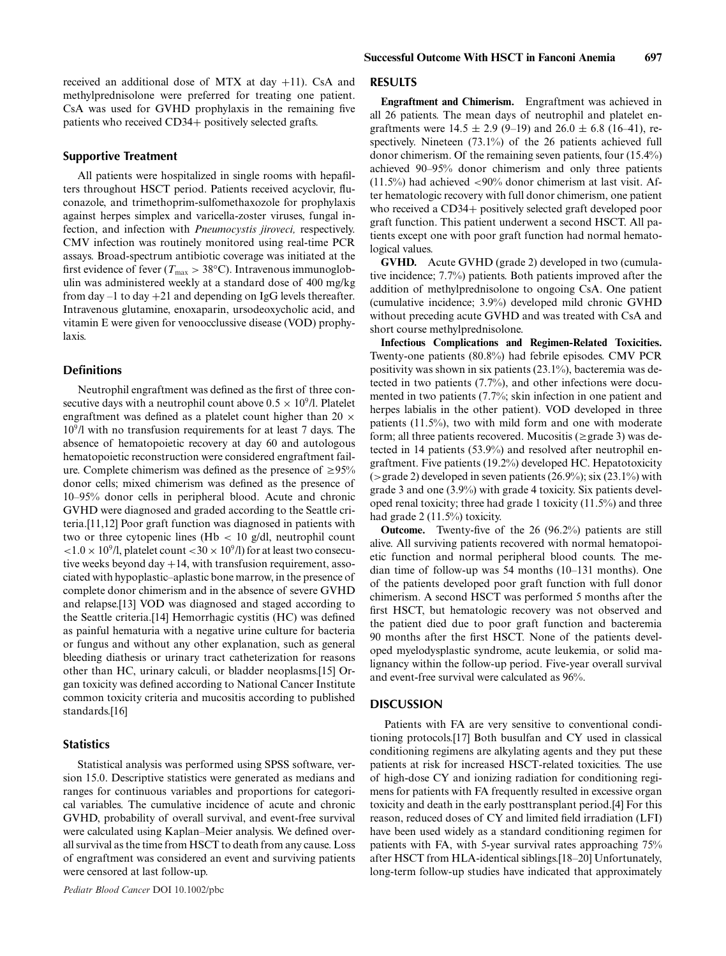received an additional dose of MTX at day +11). CsA and methylprednisolone were preferred for treating one patient. CsA was used for GVHD prophylaxis in the remaining five patients who received CD34+ positively selected grafts.

#### **Supportive Treatment**

All patients were hospitalized in single rooms with hepafilters throughout HSCT period. Patients received acyclovir, fluconazole, and trimethoprim-sulfomethaxozole for prophylaxis against herpes simplex and varicella-zoster viruses, fungal infection, and infection with *Pneumocystis jiroveci,* respectively. CMV infection was routinely monitored using real-time PCR assays. Broad-spectrum antibiotic coverage was initiated at the first evidence of fever ( $T_{\text{max}} > 38$ °C). Intravenous immunoglobulin was administered weekly at a standard dose of 400 mg/kg from day  $-1$  to day  $+21$  and depending on IgG levels thereafter. Intravenous glutamine, enoxaparin, ursodeoxycholic acid, and vitamin E were given for venoocclussive disease (VOD) prophylaxis.

# **Definitions**

Neutrophil engraftment was defined as the first of three consecutive days with a neutrophil count above  $0.5 \times 10^9$ /l. Platelet engraftment was defined as a platelet count higher than 20  $\times$  $10<sup>9</sup>/l$  with no transfusion requirements for at least 7 days. The absence of hematopoietic recovery at day 60 and autologous hematopoietic reconstruction were considered engraftment failure. Complete chimerism was defined as the presence of  $\geq 95\%$ donor cells; mixed chimerism was defined as the presence of 10–95% donor cells in peripheral blood. Acute and chronic GVHD were diagnosed and graded according to the Seattle criteria.[11,12] Poor graft function was diagnosed in patients with two or three cytopenic lines (Hb  $< 10$  g/dl, neutrophil count  $\langle 1.0 \times 10^9/1$ , platelet count  $\langle 30 \times 10^9/1 \rangle$  for at least two consecutive weeks beyond day  $+14$ , with transfusion requirement, associated with hypoplastic–aplastic bone marrow, in the presence of complete donor chimerism and in the absence of severe GVHD and relapse.[13] VOD was diagnosed and staged according to the Seattle criteria.[14] Hemorrhagic cystitis (HC) was defined as painful hematuria with a negative urine culture for bacteria or fungus and without any other explanation, such as general bleeding diathesis or urinary tract catheterization for reasons other than HC, urinary calculi, or bladder neoplasms.[15] Organ toxicity was defined according to National Cancer Institute common toxicity criteria and mucositis according to published standards.[16]

# **Statistics**

Statistical analysis was performed using SPSS software, version 15.0. Descriptive statistics were generated as medians and ranges for continuous variables and proportions for categorical variables. The cumulative incidence of acute and chronic GVHD, probability of overall survival, and event-free survival were calculated using Kaplan–Meier analysis. We defined overall survival as the time from HSCT to death from any cause. Loss of engraftment was considered an event and surviving patients were censored at last follow-up.

#### **RESULTS**

**Engraftment and Chimerism.** Engraftment was achieved in all 26 patients. The mean days of neutrophil and platelet engraftments were  $14.5 \pm 2.9$  (9-19) and  $26.0 \pm 6.8$  (16-41), respectively. Nineteen (73.1%) of the 26 patients achieved full donor chimerism. Of the remaining seven patients, four (15.4%) achieved 90–95% donor chimerism and only three patients  $(11.5\%)$  had achieved  $\langle 90\%$  donor chimerism at last visit. After hematologic recovery with full donor chimerism, one patient who received a CD34+ positively selected graft developed poor graft function. This patient underwent a second HSCT. All patients except one with poor graft function had normal hematological values.

**GVHD.** Acute GVHD (grade 2) developed in two (cumulative incidence; 7.7%) patients. Both patients improved after the addition of methylprednisolone to ongoing CsA. One patient (cumulative incidence; 3.9%) developed mild chronic GVHD without preceding acute GVHD and was treated with CsA and short course methylprednisolone.

**Infectious Complications and Regimen-Related Toxicities.** Twenty-one patients (80.8%) had febrile episodes. CMV PCR positivity was shown in six patients (23.1%), bacteremia was detected in two patients (7.7%), and other infections were documented in two patients (7.7%; skin infection in one patient and herpes labialis in the other patient). VOD developed in three patients (11.5%), two with mild form and one with moderate form; all three patients recovered. Mucositis ( $\geq$  grade 3) was detected in 14 patients (53.9%) and resolved after neutrophil engraftment. Five patients (19.2%) developed HC. Hepatotoxicity ( $>$ grade 2) developed in seven patients (26.9%); six (23.1%) with grade 3 and one (3.9%) with grade 4 toxicity. Six patients developed renal toxicity; three had grade 1 toxicity (11.5%) and three had grade 2 (11.5%) toxicity.

**Outcome.** Twenty-five of the 26 (96.2%) patients are still alive. All surviving patients recovered with normal hematopoietic function and normal peripheral blood counts. The median time of follow-up was 54 months (10–131 months). One of the patients developed poor graft function with full donor chimerism. A second HSCT was performed 5 months after the first HSCT, but hematologic recovery was not observed and the patient died due to poor graft function and bacteremia 90 months after the first HSCT. None of the patients developed myelodysplastic syndrome, acute leukemia, or solid malignancy within the follow-up period. Five-year overall survival and event-free survival were calculated as 96%.

# **DISCUSSION**

Patients with FA are very sensitive to conventional conditioning protocols.[17] Both busulfan and CY used in classical conditioning regimens are alkylating agents and they put these patients at risk for increased HSCT-related toxicities. The use of high-dose CY and ionizing radiation for conditioning regimens for patients with FA frequently resulted in excessive organ toxicity and death in the early posttransplant period.[4] For this reason, reduced doses of CY and limited field irradiation (LFI) have been used widely as a standard conditioning regimen for patients with FA, with 5-year survival rates approaching 75% after HSCT from HLA-identical siblings.[18–20] Unfortunately, long-term follow-up studies have indicated that approximately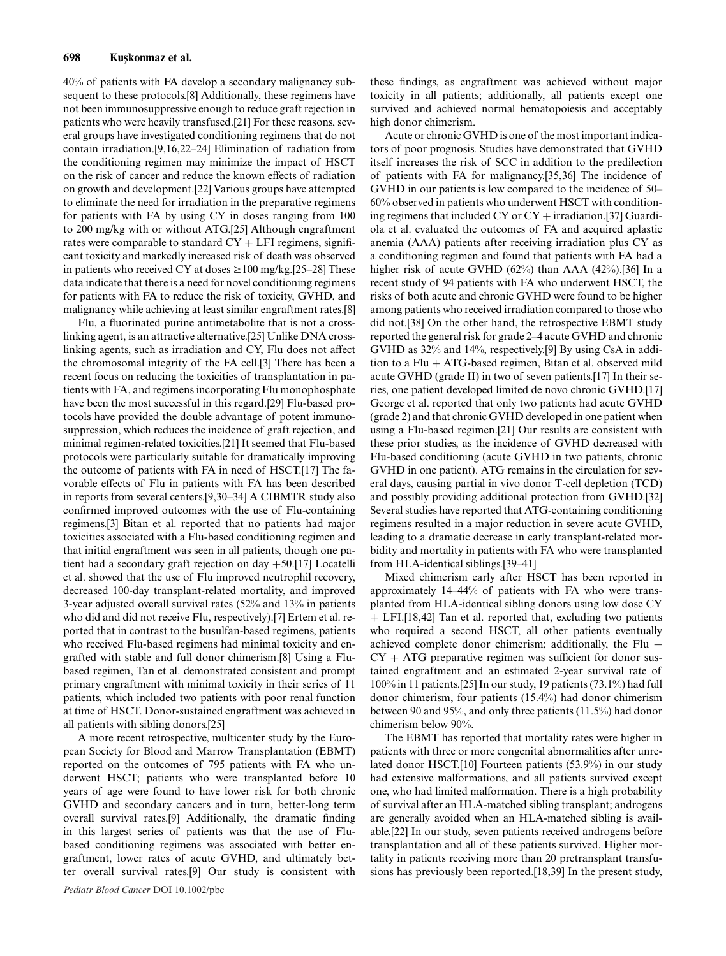40% of patients with FA develop a secondary malignancy subsequent to these protocols.[8] Additionally, these regimens have not been immunosuppressive enough to reduce graft rejection in patients who were heavily transfused.[21] For these reasons, several groups have investigated conditioning regimens that do not contain irradiation.[9,16,22–24] Elimination of radiation from the conditioning regimen may minimize the impact of HSCT on the risk of cancer and reduce the known effects of radiation on growth and development.[22] Various groups have attempted to eliminate the need for irradiation in the preparative regimens for patients with FA by using CY in doses ranging from 100 to 200 mg/kg with or without ATG.[25] Although engraftment rates were comparable to standard  $CY + LFI$  regimens, significant toxicity and markedly increased risk of death was observed in patients who received CY at doses  $\geq 100$  mg/kg.[25–28] These data indicate that there is a need for novel conditioning regimens for patients with FA to reduce the risk of toxicity, GVHD, and malignancy while achieving at least similar engraftment rates.[8]

Flu, a fluorinated purine antimetabolite that is not a crosslinking agent, is an attractive alternative.[25] Unlike DNA crosslinking agents, such as irradiation and CY, Flu does not affect the chromosomal integrity of the FA cell.[3] There has been a recent focus on reducing the toxicities of transplantation in patients with FA, and regimens incorporating Flu monophosphate have been the most successful in this regard.[29] Flu-based protocols have provided the double advantage of potent immunosuppression, which reduces the incidence of graft rejection, and minimal regimen-related toxicities.[21] It seemed that Flu-based protocols were particularly suitable for dramatically improving the outcome of patients with FA in need of HSCT.[17] The favorable effects of Flu in patients with FA has been described in reports from several centers.[9,30–34] A CIBMTR study also confirmed improved outcomes with the use of Flu-containing regimens.[3] Bitan et al. reported that no patients had major toxicities associated with a Flu-based conditioning regimen and that initial engraftment was seen in all patients, though one patient had a secondary graft rejection on day +50.[17] Locatelli et al. showed that the use of Flu improved neutrophil recovery, decreased 100-day transplant-related mortality, and improved 3-year adjusted overall survival rates (52% and 13% in patients who did and did not receive Flu, respectively).[7] Ertem et al. reported that in contrast to the busulfan-based regimens, patients who received Flu-based regimens had minimal toxicity and engrafted with stable and full donor chimerism.[8] Using a Flubased regimen, Tan et al. demonstrated consistent and prompt primary engraftment with minimal toxicity in their series of 11 patients, which included two patients with poor renal function at time of HSCT. Donor-sustained engraftment was achieved in all patients with sibling donors.[25]

A more recent retrospective, multicenter study by the European Society for Blood and Marrow Transplantation (EBMT) reported on the outcomes of 795 patients with FA who underwent HSCT; patients who were transplanted before 10 years of age were found to have lower risk for both chronic GVHD and secondary cancers and in turn, better-long term overall survival rates.[9] Additionally, the dramatic finding in this largest series of patients was that the use of Flubased conditioning regimens was associated with better engraftment, lower rates of acute GVHD, and ultimately better overall survival rates.[9] Our study is consistent with

these findings, as engraftment was achieved without major toxicity in all patients; additionally, all patients except one survived and achieved normal hematopoiesis and acceptably high donor chimerism.

Acute or chronic GVHD is one of the most important indicators of poor prognosis. Studies have demonstrated that GVHD itself increases the risk of SCC in addition to the predilection of patients with FA for malignancy.[35,36] The incidence of GVHD in our patients is low compared to the incidence of 50– 60% observed in patients who underwent HSCT with conditioning regimens that included CY or  $CY + irradiation$ . [37] Guardiola et al. evaluated the outcomes of FA and acquired aplastic anemia (AAA) patients after receiving irradiation plus CY as a conditioning regimen and found that patients with FA had a higher risk of acute GVHD (62%) than AAA (42%).[36] In a recent study of 94 patients with FA who underwent HSCT, the risks of both acute and chronic GVHD were found to be higher among patients who received irradiation compared to those who did not.[38] On the other hand, the retrospective EBMT study reported the general risk for grade 2–4 acute GVHD and chronic GVHD as 32% and 14%, respectively.[9] By using CsA in addition to a  $Flu + ATG$ -based regimen, Bitan et al. observed mild acute GVHD (grade II) in two of seven patients.[17] In their series, one patient developed limited de novo chronic GVHD.[17] George et al. reported that only two patients had acute GVHD (grade 2) and that chronic GVHD developed in one patient when using a Flu-based regimen.[21] Our results are consistent with these prior studies, as the incidence of GVHD decreased with Flu-based conditioning (acute GVHD in two patients, chronic GVHD in one patient). ATG remains in the circulation for several days, causing partial in vivo donor T-cell depletion (TCD) and possibly providing additional protection from GVHD.[32] Several studies have reported that ATG-containing conditioning regimens resulted in a major reduction in severe acute GVHD, leading to a dramatic decrease in early transplant-related morbidity and mortality in patients with FA who were transplanted from HLA-identical siblings.[39–41]

Mixed chimerism early after HSCT has been reported in approximately 14–44% of patients with FA who were transplanted from HLA-identical sibling donors using low dose CY + LFI.[18,42] Tan et al. reported that, excluding two patients who required a second HSCT, all other patients eventually achieved complete donor chimerism; additionally, the Flu  $+$  $CY + ATG$  preparative regimen was sufficient for donor sustained engraftment and an estimated 2-year survival rate of 100% in 11 patients.[25] In our study, 19 patients (73.1%) had full donor chimerism, four patients (15.4%) had donor chimerism between 90 and 95%, and only three patients (11.5%) had donor chimerism below 90%.

The EBMT has reported that mortality rates were higher in patients with three or more congenital abnormalities after unrelated donor HSCT.[10] Fourteen patients (53.9%) in our study had extensive malformations, and all patients survived except one, who had limited malformation. There is a high probability of survival after an HLA-matched sibling transplant; androgens are generally avoided when an HLA-matched sibling is available.[22] In our study, seven patients received androgens before transplantation and all of these patients survived. Higher mortality in patients receiving more than 20 pretransplant transfusions has previously been reported.[18,39] In the present study,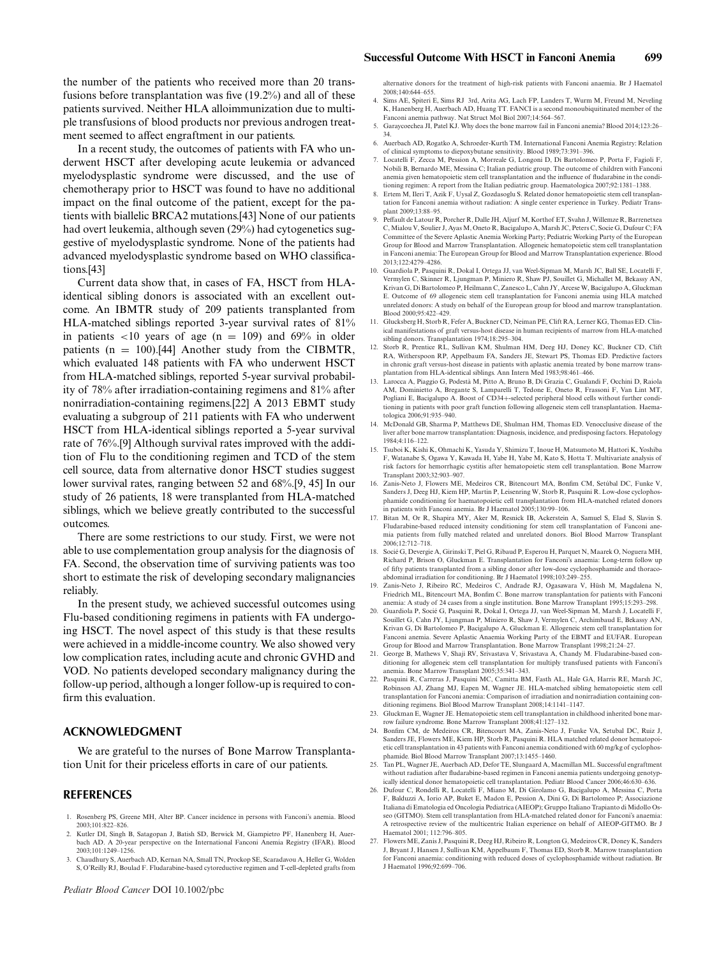ple transfusions of blood products nor previous androgen treatment seemed to affect engraftment in our patients.

In a recent study, the outcomes of patients with FA who underwent HSCT after developing acute leukemia or advanced myelodysplastic syndrome were discussed, and the use of chemotherapy prior to HSCT was found to have no additional impact on the final outcome of the patient, except for the patients with biallelic BRCA2 mutations.[43] None of our patients had overt leukemia, although seven (29%) had cytogenetics suggestive of myelodysplastic syndrome. None of the patients had advanced myelodysplastic syndrome based on WHO classifications.[43]

Current data show that, in cases of FA, HSCT from HLAidentical sibling donors is associated with an excellent outcome. An IBMTR study of 209 patients transplanted from HLA-matched siblings reported 3-year survival rates of 81% in patients  $\langle 10 \rangle$  years of age (n = 109) and 69% in older patients ( $n = 100$ ).[44] Another study from the CIBMTR, which evaluated 148 patients with FA who underwent HSCT from HLA-matched siblings, reported 5-year survival probability of 78% after irradiation-containing regimens and 81% after nonirradiation-containing regimens.[22] A 2013 EBMT study evaluating a subgroup of 211 patients with FA who underwent HSCT from HLA-identical siblings reported a 5-year survival rate of 76%.[9] Although survival rates improved with the addition of Flu to the conditioning regimen and TCD of the stem cell source, data from alternative donor HSCT studies suggest lower survival rates, ranging between 52 and 68%.[9, 45] In our study of 26 patients, 18 were transplanted from HLA-matched siblings, which we believe greatly contributed to the successful outcomes.

There are some restrictions to our study. First, we were not able to use complementation group analysis for the diagnosis of FA. Second, the observation time of surviving patients was too short to estimate the risk of developing secondary malignancies reliably.

In the present study, we achieved successful outcomes using Flu-based conditioning regimens in patients with FA undergoing HSCT. The novel aspect of this study is that these results were achieved in a middle-income country. We also showed very low complication rates, including acute and chronic GVHD and VOD. No patients developed secondary malignancy during the follow-up period, although a longer follow-up is required to confirm this evaluation.

### **ACKNOWLEDGMENT**

We are grateful to the nurses of Bone Marrow Transplantation Unit for their priceless efforts in care of our patients.

#### **REFERENCES**

- 1. Rosenberg PS, Greene MH, Alter BP. Cancer incidence in persons with Fanconi's anemia. Blood 2003;101:822–826.
- 2. Kutler DI, Singh B, Satagopan J, Batish SD, Berwick M, Giampietro PF, Hanenberg H, Auerbach AD. A 20-year perspective on the International Fanconi Anemia Registry (IFAR). Blood 2003;101:1249–1256.
- 3. Chaudhury S, Auerbach AD, Kernan NA, Small TN, Prockop SE, Scaradavou A, Heller G, Wolden S, O'Reilly RJ, Boulad F. Fludarabine-based cytoreductive regimen and T-cell-depleted grafts from

alternative donors for the treatment of high-risk patients with Fanconi anaemia. Br J Haematol 2008;140:644–655.

- 4. Sims AE, Spiteri E, Sims RJ 3rd, Arita AG, Lach FP, Landers T, Wurm M, Freund M, Neveling K, Hanenberg H, Auerbach AD, Huang TT. FANCI is a second monoubiquitinated member of the Fanconi anemia pathway. Nat Struct Mol Biol 2007;14:564–567.
- 5. Garaycoechea JI, Patel KJ. Why does the bone marrow fail in Fanconi anemia? Blood 2014;123:26– 34.
- 6. Auerbach AD, Rogatko A, Schroeder-Kurth TM. International Fanconi Anemia Registry: Relation of clinical symptoms to diepoxybutane sensitivity. Blood 1989;73:391–396.
- 7. Locatelli F, Zecca M, Pession A, Morreale G, Longoni D, Di Bartolomeo P, Porta F, Fagioli F, Nobili B, Bernardo ME, Messina C; Italian pediatric group. The outcome of children with Fanconi anemia given hematopoietic stem cell transplantation and the influence of fludarabine in the conditioning regimen: A report from the Italian pediatric group. Haematologica 2007;92:1381–1388.
- 8. Ertem M, Ileri T, Azik F, Uysal Z, Gozdasoglu S. Related donor hematopoietic stem cell transplantation for Fanconi anemia without radiation: A single center experience in Turkey. Pediatr Transplant 2009;13:88–95.
- 9. Peffault de Latour R, Porcher R, Dalle JH, Aljurf M, Korthof ET, Svahn J, Willemze R, Barrenetxea C, Mialou V, Soulier J, Ayas M, Oneto R, Bacigalupo A, Marsh JC, Peters C, Socie G, Dufour C; FA Committee of the Severe Aplastic Anemia Working Party; Pediatric Working Party of the European Group for Blood and Marrow Transplantation. Allogeneic hematopoietic stem cell transplantation in Fanconi anemia: The European Group for Blood and Marrow Transplantation experience. Blood 2013;122:4279–4286.
- 10. Guardiola P, Pasquini R, Dokal I, Ortega JJ, van Weel-Sipman M, Marsh JC, Ball SE, Locatelli F, Vermylen C, Skinner R, Ljungman P, Miniero R, Shaw PJ, Souillet G, Michallet M, Bekassy AN, Krivan G, Di Bartolomeo P, Heilmann C, Zanesco L, Cahn JY, Arcese W, Bacigalupo A, Gluckman E. Outcome of 69 allogeneic stem cell transplantation for Fanconi anemia using HLA matched unrelated donors: A study on behalf of the European group for blood and marrow transplantation. Blood 2000;95:422–429.
- 11. Glucksberg H, Storb R, Fefer A, Buckner CD, Neiman PE, Clift RA, Lerner KG, Thomas ED. Clinical manifestations of graft versus-host disease in human recipients of marrow from HLA-matched sibling donors. Transplantation 1974;18:295–304.
- 12. Storb R, Prentice RL, Sullivan KM, Shulman HM, Deeg HJ, Doney KC, Buckner CD, Clift RA, Witherspoon RP, Appelbaum FA, Sanders JE, Stewart PS, Thomas ED. Predictive factors in chronic graft versus-host disease in patients with aplastic anemia treated by bone marrow transplantation from HLA-identical siblings. Ann Intern Med 1983;98:461–466.
- 13. Larocca A, Piaggio G, Podestà M, Pitto A, Bruno B, Di Grazia C, Gualandi F, Occhini D, Raiola AM, Dominietto A, Bregante S, Lamparelli T, Tedone E, Oneto R, Frassoni F, Van Lint MT, Pogliani E, Bacigalupo A. Boost of CD34+-selected peripheral blood cells without further conditioning in patients with poor graft function following allogeneic stem cell transplantation. Haematologica 2006;91:935–940.
- 14. McDonald GB, Sharma P, Matthews DE, Shulman HM, Thomas ED. Venocclusive disease of the liver after bone marrow transplantation: Diagnosis, incidence, and predisposing factors. Hepatology 1984;4:116–122.
- 15. Tsuboi K, Kishi K, Ohmachi K, Yasuda Y, Shimizu T, Inoue H, Matsumoto M, Hattori K, Yoshiba F, Watanabe S, Ogawa Y, Kawada H, Yabe H, Yabe M, Kato S, Hotta T. Multivariate analysis of risk factors for hemorrhagic cystitis after hematopoietic stem cell transplantation. Bone Marrow Transplant 2003;32:903–907.
- 16. Zanis-Neto J, Flowers ME, Medeiros CR, Bitencourt MA, Bonfim CM, Setúbal DC, Funke V, Sanders J, Deeg HJ, Kiem HP, Martin P, Leisenring W, Storb R, Pasquini R. Low-dose cyclophos-phamide conditioning for haematopoietic cell transplantation from HLA-matched related donors n patients with Fanconi anemia. Br J Haematol 2005;130:99-106.
- 17. Bitan M, Or R, Shapira MY, Aker M, Resnick IB, Ackerstein A, Samuel S, Elad S, Slavin S. Fludarabine-based reduced intensity conditioning for stem cell transplantation of Fanconi anemia patients from fully matched related and unrelated donors. Biol Blood Marrow Transplant 2006;12:712–718.
- 18. Socié G, Devergie A, Girinski T, Piel G, Ribaud P, Esperou H, Parquet N, Maarek O, Noguera MH, Richard P, Brison O, Gluckman E. Transplantation for Fanconi's anaemia: Long-term follow up of fifty patients transplanted from a sibling donor after low-dose cyclophosphamide and thoraco-abdominal irradiation for conditioning. Br J Haematol 1998;103:249–255.
- 19. Zanis-Neto J, Ribeiro RC, Medeiros C, Andrade RJ, Ogasawara V, Hüsh M, Magdalena N, Friedrich ML, Bitencourt MA, Bonfim C. Bone marrow transplantation for patients with Fanconi anemia: A study of 24 cases from a single institution. Bone Marrow Transplant 1995;15:293–298.
- 20. Guardiola P, Socié G, Pasquini R, Dokal I, Ortega JJ, van Weel-Sipman M, Marsh J, Locatelli F, Souillet G, Cahn JY, Ljungman P, Miniero R, Shaw J, Vermylen C, Archimbaud E, Bekassy AN, Krivan G, Di Bartolomeo P, Bacigalupo A, Gluckman E. Allogeneic stem cell transplantation for Fanconi anemia. Severe Aplastic Anaemia Working Party of the EBMT and EUFAR. European Group for Blood and Marrow Transplantation. Bone Marrow Transplant 1998;21:24–27.
- 21. George B, Mathews V, Shaji RV, Srivastava V, Srivastava A, Chandy M. Fludarabine-based conditioning for allogeneic stem cell transplantation for multiply transfused patients with Fanco anemia. Bone Marrow Transplant 2005;35:341–343.
- 22. Pasquini R, Carreras J, Pasquini MC, Camitta BM, Fasth AL, Hale GA, Harris RE, Marsh JC, son AJ, Zhang MJ, Eapen M, Wagner JE. HLA-matched sibling hematopoietic stem cell transplantation for Fanconi anemia: Comparison of irradiation and nonirradiation containing conditioning regimens. Biol Blood Marrow Transplant 2008;14:1141–1147.
- 23. Gluckman E, Wagner JE. Hematopoietic stem cell transplantation in childhood inherited bone marrow failure syndrome. Bone Marrow Transplant 2008;41:127–132.
- 24. Bonfim CM, de Medeiros CR, Bitencourt MA, Zanis-Neto J, Funke VA, Setubal DC, Ruiz J, Sanders JE, Flowers ME, Kiem HP, Storb R, Pasquini R. HLA matched related donor hematopoietic cell transplantation in 43 patients with Fanconi anemia conditioned with 60 mg/kg of cyclophos-phamide. Biol Blood Marrow Transplant 2007;13:1455–1460.
- 25. Tan PL, Wagner JE, Auerbach AD, Defor TE, Slungaard A, Macmillan ML. Successful engraftment without radiation after fludarabine-based regimen in Fanconi anemia patients undergoing genotypically identical donor hematopoietic cell transplantation. Pediatr Blood Cancer 2006;46:630–636.
- 26. Dufour C, Rondelli R, Locatelli F, Miano M, Di Girolamo G, Bacigalupo A, Messina C, Porta F, Balduzzi A, Iorio AP, Buket E, Madon E, Pession A, Dini G, Di Bartolomeo P; Associazione Italiana di Ematologia ed Oncologia Pediatrica (AIEOP); Gruppo Italiano Trapianto di Midollo Osseo (GITMO). Stem cell transplantation from HLA-matched related donor for Fanconi's anaemia: A retrospective review of the multicentric Italian experience on behalf of AIEOP-GITMO. Br J Haematol 2001; 112:796–805.
- 27. Flowers ME, Zanis J, Pasquini R, Deeg HJ, Ribeiro R, Longton G, Medeiros CR, Doney K, Sanders J, Bryant J, Hansen J, Sullivan KM, Appelbaum F, Thomas ED, Storb R. Marrow transplantation for Fanconi anaemia: conditioning with reduced doses of cyclophosphamide without radiation. Br J Haematol 1996;92:699–706.